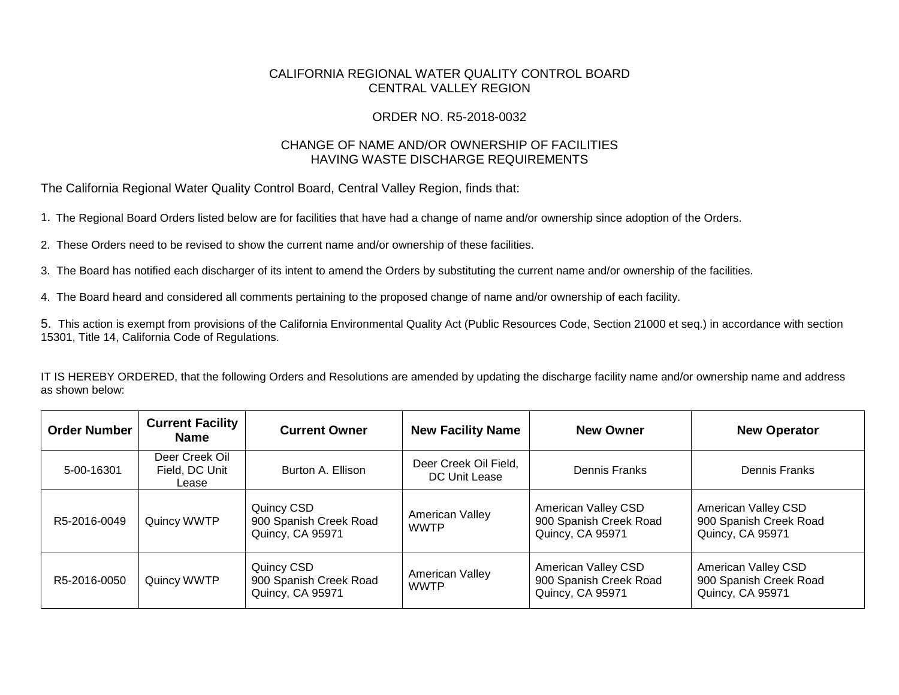## CALIFORNIA REGIONAL WATER QUALITY CONTROL BOARD CENTRAL VALLEY REGION

## ORDER NO. R5-2018-0032

## CHANGE OF NAME AND/OR OWNERSHIP OF FACILITIES HAVING WASTE DISCHARGE REQUIREMENTS

The California Regional Water Quality Control Board, Central Valley Region, finds that:

1. The Regional Board Orders listed below are for facilities that have had a change of name and/or ownership since adoption of the Orders.

2. These Orders need to be revised to show the current name and/or ownership of these facilities.

3. The Board has notified each discharger of its intent to amend the Orders by substituting the current name and/or ownership of the facilities.

4. The Board heard and considered all comments pertaining to the proposed change of name and/or ownership of each facility.

5. This action is exempt from provisions of the California Environmental Quality Act (Public Resources Code, Section 21000 et seq.) in accordance with section 15301, Title 14, California Code of Regulations.

IT IS HEREBY ORDERED, that the following Orders and Resolutions are amended by updating the discharge facility name and/or ownership name and address as shown below:

| <b>Order Number</b> | <b>Current Facility</b><br>Name           | <b>Current Owner</b>                                            | <b>New Facility Name</b>               | <b>New Owner</b>                                                  | <b>New Operator</b>                                               |
|---------------------|-------------------------------------------|-----------------------------------------------------------------|----------------------------------------|-------------------------------------------------------------------|-------------------------------------------------------------------|
| 5-00-16301          | Deer Creek Oil<br>Field, DC Unit<br>Lease | Burton A. Ellison                                               | Deer Creek Oil Field,<br>DC Unit Lease | Dennis Franks                                                     | Dennis Franks                                                     |
| R5-2016-0049        | Quincy WWTP                               | Quincy CSD<br>900 Spanish Creek Road<br>Quincy, CA 95971        | American Valley<br><b>WWTP</b>         | American Valley CSD<br>900 Spanish Creek Road<br>Quincy, CA 95971 | American Valley CSD<br>900 Spanish Creek Road<br>Quincy, CA 95971 |
| R5-2016-0050        | Quincy WWTP                               | Quincy CSD<br>900 Spanish Creek Road<br><b>Quincy, CA 95971</b> | American Valley<br><b>WWTP</b>         | American Valley CSD<br>900 Spanish Creek Road<br>Quincy, CA 95971 | American Valley CSD<br>900 Spanish Creek Road<br>Quincy, CA 95971 |